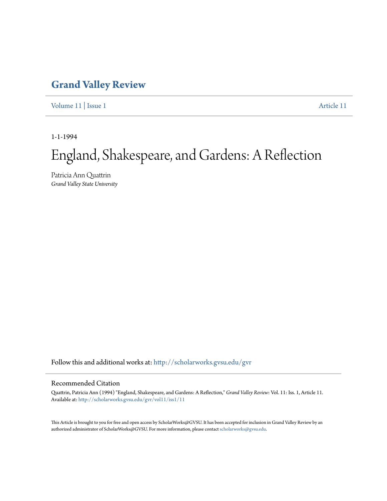## **[Grand Valley Review](http://scholarworks.gvsu.edu/gvr?utm_source=scholarworks.gvsu.edu%2Fgvr%2Fvol11%2Fiss1%2F11&utm_medium=PDF&utm_campaign=PDFCoverPages)**

[Volume 11](http://scholarworks.gvsu.edu/gvr/vol11?utm_source=scholarworks.gvsu.edu%2Fgvr%2Fvol11%2Fiss1%2F11&utm_medium=PDF&utm_campaign=PDFCoverPages) | [Issue 1](http://scholarworks.gvsu.edu/gvr/vol11/iss1?utm_source=scholarworks.gvsu.edu%2Fgvr%2Fvol11%2Fiss1%2F11&utm_medium=PDF&utm_campaign=PDFCoverPages) [Article 11](http://scholarworks.gvsu.edu/gvr/vol11/iss1/11?utm_source=scholarworks.gvsu.edu%2Fgvr%2Fvol11%2Fiss1%2F11&utm_medium=PDF&utm_campaign=PDFCoverPages)

1-1-1994

# England, Shakespeare, and Gardens: A Reflection

Patricia Ann Quattrin *Grand Valley State University*

Follow this and additional works at: [http://scholarworks.gvsu.edu/gvr](http://scholarworks.gvsu.edu/gvr?utm_source=scholarworks.gvsu.edu%2Fgvr%2Fvol11%2Fiss1%2F11&utm_medium=PDF&utm_campaign=PDFCoverPages)

#### Recommended Citation

Quattrin, Patricia Ann (1994) "England, Shakespeare, and Gardens: A Reflection," *Grand Valley Review*: Vol. 11: Iss. 1, Article 11. Available at: [http://scholarworks.gvsu.edu/gvr/vol11/iss1/11](http://scholarworks.gvsu.edu/gvr/vol11/iss1/11?utm_source=scholarworks.gvsu.edu%2Fgvr%2Fvol11%2Fiss1%2F11&utm_medium=PDF&utm_campaign=PDFCoverPages)

This Article is brought to you for free and open access by ScholarWorks@GVSU. It has been accepted for inclusion in Grand Valley Review by an authorized administrator of ScholarWorks@GVSU. For more information, please contact [scholarworks@gvsu.edu.](mailto:scholarworks@gvsu.edu)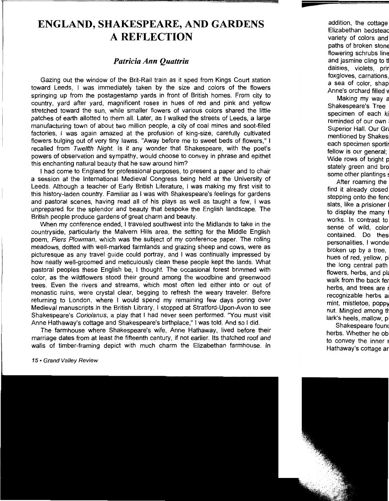## **ENGLAND, SHAKESPEARE, AND GARDENS A REFLECTION**

### *Patricia Ann Quattrin*

Gazing out the window of the Brit-Rail train as it sped from Kings Court station toward Leeds, I was immediately taken by the size and. colors of the flowers springing up from the postagestamp yards in front of British homes. From city to country, yard after yard, magnificent roses in hues of red and pink and yellow stretched toward the sun, while smaller flowers of various colors shared the little patches of earth allotted to them all. Later, as I walked the streets of Leeds, a large manufacturing town of about two million people, a city of coal mmes and soot-filled factories, 1 was again amazed at the profusion of king-size, carefully cultivated flowers bulging out of very tiny lawns. "Away before me to sweet beds of flowers," I recalled from Twelfth Night. Is it any wonder that Shakespeare, with the poet's powers of observation and sympathy, would choose to convey in phrase and epithet this enchanting natural beauty that he saw around him?

1 had come to England for professional purposes, to present a paper and to chair a session at the International Medieval Congress being held at the University of Leeds. Although a teacher of Early British Literature, I was making my first visit to this history-laden country. Familiar as I was with Shakespeare's feelings for gardens and pastoral scenes, having read all of his plays as well as taught a few, I was unprepared for the splendor and beauty that bespoke the English landscape. The British people produce gardens of great charm and beauty.

When my conference ended, I traveled southwest into the Midlands to take in the countryside, particularly the Malvern Hills area, the setting for the Middle Engl!sh poem, Piers Plowman, which was the subject of my conference paper. The rolling meadows, dotted with well-marked farmlands and grazing sheep and cows, were as picturesque as any travel guide could portray, and I was continually impressed by how neatly well-groomed and meticulously clean these people kept the lands. What pastoral peoples these English be, I thought. The occasional forest brimmed with color as the wildflowers stood their ground among the woodbine and greenwood trees: Even the rivers and streams, which most often led either into or out of monastic ruins, were crystal clear, begging to refresh the weary traveler. Before returning to London, where I would spend my remaining few days poring over Medieval manuscripts in the British Library, I stopped at Stratford-Upon-Avon to see Shakespeare's Coriolanus, a play that I had never seen performed. "You must visit Anne Hathaway's cottage and Shakespeare's birthplace," I was told. And so I did.

The farmhouse where Shakespeare's wife, Anne Hathaway, lived before their marriage dates from at least the fifteenth century, if not earlier. Its thatched roof and walls of timber-framing depict with much charm the Elizabethan farmhouse. In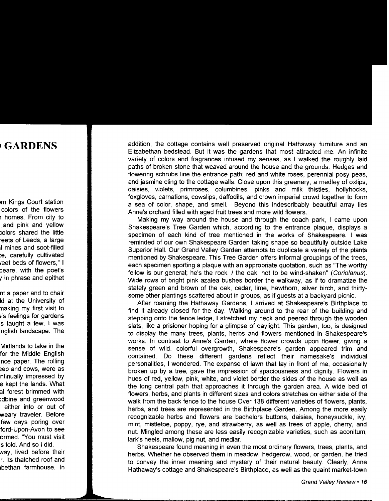addition, the cottage contains well preserved original Hathaway furniture and an Elizabethan bedstead. But it was the gardens that most attracted me. An infinite variety of colors and fragrances infused my senses, as I walked the roughly laid paths of broken stone that weaved around the house and the grounds. Hedges and flowering schrubs line the entrance path; red and white roses, perennial posy peas, and jasmine cling to the cottage walls. Close upon this greenery, a medley of oxlips, daisies, violets, primroses, columbines, pinks and milk thistles, hollyhocks, foxgloves, carnations, cowslips, daffodils, and crown imperial crowd together to form a sea of color, shape, and smell. Beyond this indescribably beautiful array lies Anne's orchard filled with aged fruit trees and more wild flowers.

Making my way around the house and through the coach park, I came upon Shakespeare's Tree Garden which, according to the entrance plaque, displays a specimen of each kind of tree mentioned in the works of Shakespeare. I was reminded of our own Shakespeare Garden taking shape so beautifully outside Lake Superior Hall. Our Grand Valley Garden attempts to duplicate a variety of the plants mentioned by Shakespeare. This Tree Garden offers informal groupings of the trees, each specimen sporting a plaque with an appropriate quotation, such as "The worthy fellow is our general; he's the rock, I the oak, not to be wind-shaken" (Coriolanus). Wide rows of bright pink azalea bushes border the walkway, as if to dramatize the stately green and brown of the oak, cedar, lime, hawthorn, silver birch, and thirtysome other plantings scattered about in groups, as if guests at a backyard picnic.

After roaming the Hathaway Gardens, I arrived at Shakespeare's Birthplace to find it already closed for the day. Walking around to the rear of the building and stepping onto the fence ledge, I stretched my neck and peered through the wooden slats, like a prisioner hoping for a glimpse of daylight. This garden, too, is designed to display the many trees, plants, herbs and flowers mentioned in Shakespeare's works. In contrast to Anne's Garden, where flower crowds upon flower, giving a sense of wild, colorful overgrowth, Shakespeare's garden appeared trim and contained. Do these different gardens reflect their namesake's individual personalities, I wondered. The expanse of lawn that lay in front of me, occasionally broken up by a tree, gave the impression of spaciousness and dignity. Flowers in hues of red, yellow, pink, white, and violet border the sides of the house as well as the long central path that approaches it through the garden area. A wide bed of flowers, herbs, and plants in different sizes and colors stretches on either side of the walk from the back fence to the house Over 138 different varieties of flowers, plants, herbs, and trees are represented in the Birthplace Garden. Among the more easily recognizable herbs and flowers are bachelors buttons, daisies, honeysuckle, ivy, mint, mistletoe, poppy, rye, and strawberry, as well as trees of apple, cherry, and nut. Mingled among these are less easily recognizable varieties, such as aconitum, lark's heels, mallow, pig nut, and medlar.

Shakespeare found meaning in even the most ordinary flowers, trees, plants, and herbs. Whether he observed them in meadow, hedgerow, wood, or garden, he tried to convey the inner meaning and mystery of their natural beauty. Clearly, Anne Hathaway's cottage and Shakespeare's Birthplace, as well as the quaint market-town